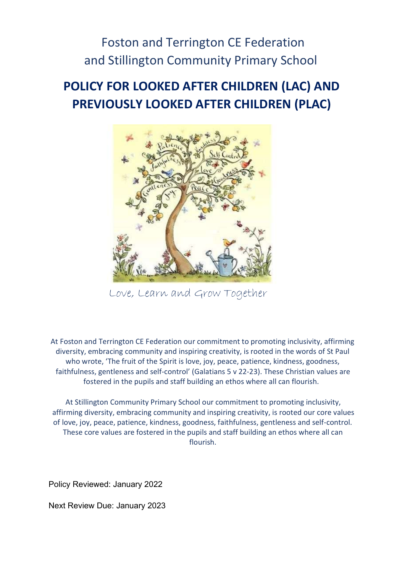# Foston and Terrington CE Federation and Stillington Community Primary School

# POLICY FOR LOOKED AFTER CHILDREN (LAC) AND PREVIOUSLY LOOKED AFTER CHILDREN (PLAC)



Love, Learn and Grow Together

At Foston and Terrington CE Federation our commitment to promoting inclusivity, affirming diversity, embracing community and inspiring creativity, is rooted in the words of St Paul who wrote, 'The fruit of the Spirit is love, joy, peace, patience, kindness, goodness, faithfulness, gentleness and self-control' (Galatians 5 v 22-23). These Christian values are fostered in the pupils and staff building an ethos where all can flourish.

At Stillington Community Primary School our commitment to promoting inclusivity, affirming diversity, embracing community and inspiring creativity, is rooted our core values of love, joy, peace, patience, kindness, goodness, faithfulness, gentleness and self-control. These core values are fostered in the pupils and staff building an ethos where all can flourish.

Policy Reviewed: January 2022

Next Review Due: January 2023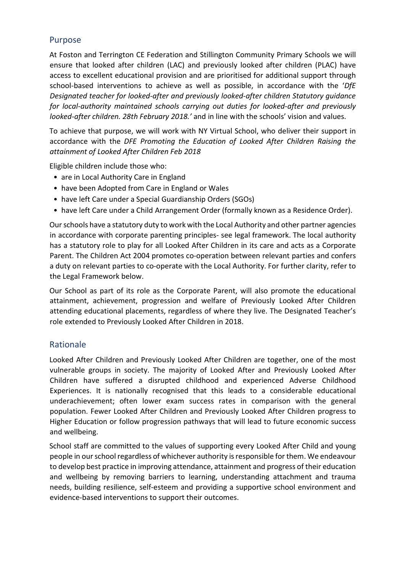## Purpose

At Foston and Terrington CE Federation and Stillington Community Primary Schools we will ensure that looked after children (LAC) and previously looked after children (PLAC) have access to excellent educational provision and are prioritised for additional support through school-based interventions to achieve as well as possible, in accordance with the  $DfE$ Designated teacher for looked-after and previously looked-after children Statutory guidance for local-authority maintained schools carrying out duties for looked-after and previously looked-after children. 28th February 2018.' and in line with the schools' vision and values.

To achieve that purpose, we will work with NY Virtual School, who deliver their support in accordance with the DFE Promoting the Education of Looked After Children Raising the attainment of Looked After Children Feb 2018

Eligible children include those who:

- are in Local Authority Care in England
- have been Adopted from Care in England or Wales
- have left Care under a Special Guardianship Orders (SGOs)
- have left Care under a Child Arrangement Order (formally known as a Residence Order).

Our schools have a statutory duty to work with the Local Authority and other partner agencies in accordance with corporate parenting principles- see legal framework. The local authority has a statutory role to play for all Looked After Children in its care and acts as a Corporate Parent. The Children Act 2004 promotes co-operation between relevant parties and confers a duty on relevant parties to co-operate with the Local Authority. For further clarity, refer to the Legal Framework below.

Our School as part of its role as the Corporate Parent, will also promote the educational attainment, achievement, progression and welfare of Previously Looked After Children attending educational placements, regardless of where they live. The Designated Teacher's role extended to Previously Looked After Children in 2018.

#### Rationale

Looked After Children and Previously Looked After Children are together, one of the most vulnerable groups in society. The majority of Looked After and Previously Looked After Children have suffered a disrupted childhood and experienced Adverse Childhood Experiences. It is nationally recognised that this leads to a considerable educational underachievement; often lower exam success rates in comparison with the general population. Fewer Looked After Children and Previously Looked After Children progress to Higher Education or follow progression pathways that will lead to future economic success and wellbeing.

School staff are committed to the values of supporting every Looked After Child and young people in our school regardless of whichever authority is responsible for them. We endeavour to develop best practice in improving attendance, attainment and progress of their education and wellbeing by removing barriers to learning, understanding attachment and trauma needs, building resilience, self-esteem and providing a supportive school environment and evidence-based interventions to support their outcomes.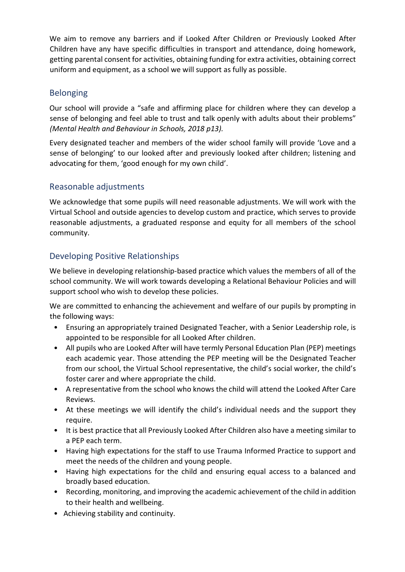We aim to remove any barriers and if Looked After Children or Previously Looked After Children have any have specific difficulties in transport and attendance, doing homework, getting parental consent for activities, obtaining funding for extra activities, obtaining correct uniform and equipment, as a school we will support as fully as possible.

## Belonging

Our school will provide a "safe and affirming place for children where they can develop a sense of belonging and feel able to trust and talk openly with adults about their problems" (Mental Health and Behaviour in Schools, 2018 p13).

Every designated teacher and members of the wider school family will provide 'Love and a sense of belonging' to our looked after and previously looked after children; listening and advocating for them, 'good enough for my own child'.

## Reasonable adjustments

We acknowledge that some pupils will need reasonable adjustments. We will work with the Virtual School and outside agencies to develop custom and practice, which serves to provide reasonable adjustments, a graduated response and equity for all members of the school community.

# Developing Positive Relationships

We believe in developing relationship-based practice which values the members of all of the school community. We will work towards developing a Relational Behaviour Policies and will support school who wish to develop these policies.

We are committed to enhancing the achievement and welfare of our pupils by prompting in the following ways:

- Ensuring an appropriately trained Designated Teacher, with a Senior Leadership role, is appointed to be responsible for all Looked After children.
- All pupils who are Looked After will have termly Personal Education Plan (PEP) meetings each academic year. Those attending the PEP meeting will be the Designated Teacher from our school, the Virtual School representative, the child's social worker, the child's foster carer and where appropriate the child.
- A representative from the school who knows the child will attend the Looked After Care Reviews.
- At these meetings we will identify the child's individual needs and the support they require.
- It is best practice that all Previously Looked After Children also have a meeting similar to a PEP each term.
- Having high expectations for the staff to use Trauma Informed Practice to support and meet the needs of the children and young people.
- Having high expectations for the child and ensuring equal access to a balanced and broadly based education.
- Recording, monitoring, and improving the academic achievement of the child in addition to their health and wellbeing.
- Achieving stability and continuity.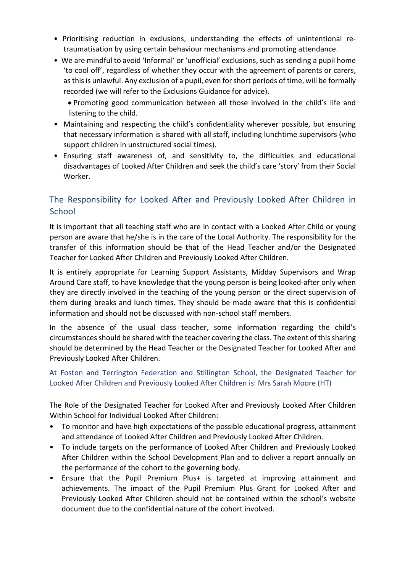- Prioritising reduction in exclusions, understanding the effects of unintentional retraumatisation by using certain behaviour mechanisms and promoting attendance.
- We are mindful to avoid 'Informal' or 'unofficial' exclusions, such as sending a pupil home 'to cool off', regardless of whether they occur with the agreement of parents or carers, as this is unlawful. Any exclusion of a pupil, even for short periods of time, will be formally recorded (we will refer to the Exclusions Guidance for advice).

 Promoting good communication between all those involved in the child's life and listening to the child.

- Maintaining and respecting the child's confidentiality wherever possible, but ensuring that necessary information is shared with all staff, including lunchtime supervisors (who support children in unstructured social times).
- Ensuring staff awareness of, and sensitivity to, the difficulties and educational disadvantages of Looked After Children and seek the child's care 'story' from their Social Worker.

# The Responsibility for Looked After and Previously Looked After Children in **School**

It is important that all teaching staff who are in contact with a Looked After Child or young person are aware that he/she is in the care of the Local Authority. The responsibility for the transfer of this information should be that of the Head Teacher and/or the Designated Teacher for Looked After Children and Previously Looked After Children.

It is entirely appropriate for Learning Support Assistants, Midday Supervisors and Wrap Around Care staff, to have knowledge that the young person is being looked-after only when they are directly involved in the teaching of the young person or the direct supervision of them during breaks and lunch times. They should be made aware that this is confidential information and should not be discussed with non-school staff members.

In the absence of the usual class teacher, some information regarding the child's circumstances should be shared with the teacher covering the class. The extent of this sharing should be determined by the Head Teacher or the Designated Teacher for Looked After and Previously Looked After Children.

At Foston and Terrington Federation and Stillington School, the Designated Teacher for Looked After Children and Previously Looked After Children is: Mrs Sarah Moore (HT)

The Role of the Designated Teacher for Looked After and Previously Looked After Children Within School for Individual Looked After Children:

- To monitor and have high expectations of the possible educational progress, attainment and attendance of Looked After Children and Previously Looked After Children.
- To include targets on the performance of Looked After Children and Previously Looked After Children within the School Development Plan and to deliver a report annually on the performance of the cohort to the governing body.
- Ensure that the Pupil Premium Plus+ is targeted at improving attainment and achievements. The impact of the Pupil Premium Plus Grant for Looked After and Previously Looked After Children should not be contained within the school's website document due to the confidential nature of the cohort involved.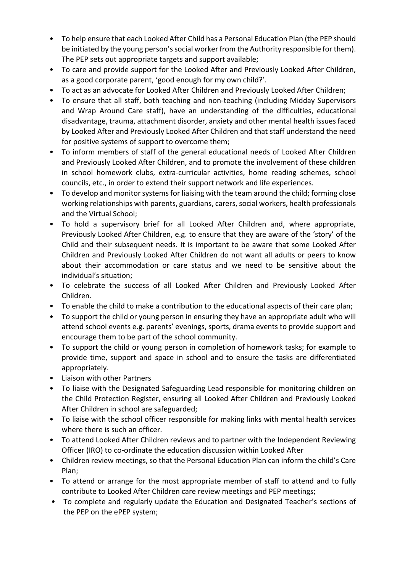- To help ensure that each Looked After Child has a Personal Education Plan (the PEP should be initiated by the young person's social worker from the Authority responsible for them). The PEP sets out appropriate targets and support available;
- To care and provide support for the Looked After and Previously Looked After Children, as a good corporate parent, 'good enough for my own child?'.
- To act as an advocate for Looked After Children and Previously Looked After Children;
- To ensure that all staff, both teaching and non-teaching (including Midday Supervisors and Wrap Around Care staff), have an understanding of the difficulties, educational disadvantage, trauma, attachment disorder, anxiety and other mental health issues faced by Looked After and Previously Looked After Children and that staff understand the need for positive systems of support to overcome them;
- To inform members of staff of the general educational needs of Looked After Children and Previously Looked After Children, and to promote the involvement of these children in school homework clubs, extra-curricular activities, home reading schemes, school councils, etc., in order to extend their support network and life experiences.
- To develop and monitor systems for liaising with the team around the child; forming close working relationships with parents, guardians, carers, social workers, health professionals and the Virtual School;
- To hold a supervisory brief for all Looked After Children and, where appropriate, Previously Looked After Children, e.g. to ensure that they are aware of the 'story' of the Child and their subsequent needs. It is important to be aware that some Looked After Children and Previously Looked After Children do not want all adults or peers to know about their accommodation or care status and we need to be sensitive about the individual's situation;
- To celebrate the success of all Looked After Children and Previously Looked After Children.
- To enable the child to make a contribution to the educational aspects of their care plan;
- To support the child or young person in ensuring they have an appropriate adult who will attend school events e.g. parents' evenings, sports, drama events to provide support and encourage them to be part of the school community.
- To support the child or young person in completion of homework tasks; for example to provide time, support and space in school and to ensure the tasks are differentiated appropriately.
- Liaison with other Partners
- To liaise with the Designated Safeguarding Lead responsible for monitoring children on the Child Protection Register, ensuring all Looked After Children and Previously Looked After Children in school are safeguarded;
- To liaise with the school officer responsible for making links with mental health services where there is such an officer.
- To attend Looked After Children reviews and to partner with the Independent Reviewing Officer (IRO) to co-ordinate the education discussion within Looked After
- Children review meetings, so that the Personal Education Plan can inform the child's Care Plan;
- To attend or arrange for the most appropriate member of staff to attend and to fully contribute to Looked After Children care review meetings and PEP meetings;
- To complete and regularly update the Education and Designated Teacher's sections of the PEP on the ePEP system;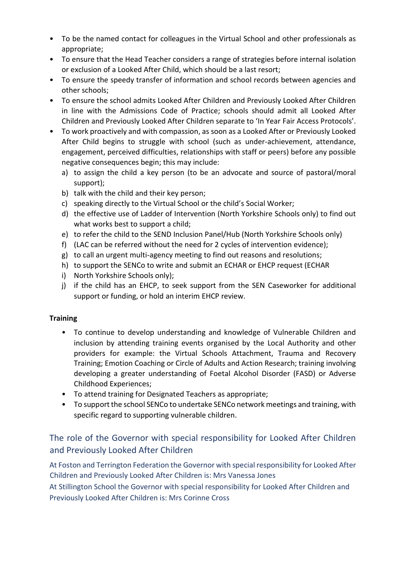- To be the named contact for colleagues in the Virtual School and other professionals as appropriate;
- To ensure that the Head Teacher considers a range of strategies before internal isolation or exclusion of a Looked After Child, which should be a last resort;
- To ensure the speedy transfer of information and school records between agencies and other schools;
- To ensure the school admits Looked After Children and Previously Looked After Children in line with the Admissions Code of Practice; schools should admit all Looked After Children and Previously Looked After Children separate to 'In Year Fair Access Protocols'.
- To work proactively and with compassion, as soon as a Looked After or Previously Looked After Child begins to struggle with school (such as under-achievement, attendance, engagement, perceived difficulties, relationships with staff or peers) before any possible negative consequences begin; this may include:
	- a) to assign the child a key person (to be an advocate and source of pastoral/moral support);
	- b) talk with the child and their key person;
	- c) speaking directly to the Virtual School or the child's Social Worker;
	- d) the effective use of Ladder of Intervention (North Yorkshire Schools only) to find out what works best to support a child;
	- e) to refer the child to the SEND Inclusion Panel/Hub (North Yorkshire Schools only)
	- f) (LAC can be referred without the need for 2 cycles of intervention evidence);
	- g) to call an urgent multi-agency meeting to find out reasons and resolutions;
	- h) to support the SENCo to write and submit an ECHAR or EHCP request (ECHAR
	- i) North Yorkshire Schools only);
	- j) if the child has an EHCP, to seek support from the SEN Caseworker for additional support or funding, or hold an interim EHCP review.

#### **Training**

- To continue to develop understanding and knowledge of Vulnerable Children and inclusion by attending training events organised by the Local Authority and other providers for example: the Virtual Schools Attachment, Trauma and Recovery Training; Emotion Coaching or Circle of Adults and Action Research; training involving developing a greater understanding of Foetal Alcohol Disorder (FASD) or Adverse Childhood Experiences;
- To attend training for Designated Teachers as appropriate;
- To support the school SENCo to undertake SENCo network meetings and training, with specific regard to supporting vulnerable children.

# The role of the Governor with special responsibility for Looked After Children and Previously Looked After Children

At Foston and Terrington Federation the Governor with special responsibility for Looked After Children and Previously Looked After Children is: Mrs Vanessa Jones

At Stillington School the Governor with special responsibility for Looked After Children and Previously Looked After Children is: Mrs Corinne Cross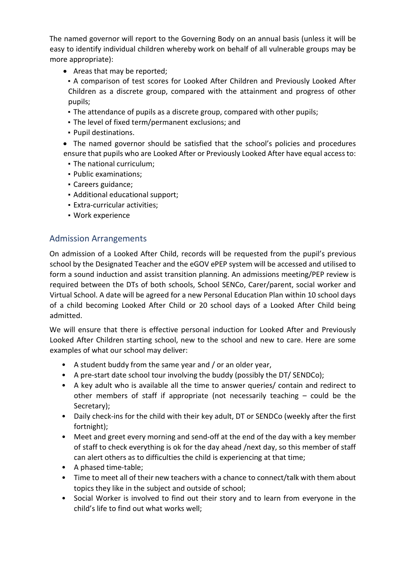The named governor will report to the Governing Body on an annual basis (unless it will be easy to identify individual children whereby work on behalf of all vulnerable groups may be more appropriate):

- Areas that may be reported;
- A comparison of test scores for Looked After Children and Previously Looked After Children as a discrete group, compared with the attainment and progress of other pupils;
- The attendance of pupils as a discrete group, compared with other pupils;
- The level of fixed term/permanent exclusions; and
- Pupil destinations.
- The named governor should be satisfied that the school's policies and procedures ensure that pupils who are Looked After or Previously Looked After have equal access to:
	- The national curriculum;
	- Public examinations;
	- Careers guidance;
	- Additional educational support;
- Extra-curricular activities;
- Work experience

# Admission Arrangements

On admission of a Looked After Child, records will be requested from the pupil's previous school by the Designated Teacher and the eGOV ePEP system will be accessed and utilised to form a sound induction and assist transition planning. An admissions meeting/PEP review is required between the DTs of both schools, School SENCo, Carer/parent, social worker and Virtual School. A date will be agreed for a new Personal Education Plan within 10 school days of a child becoming Looked After Child or 20 school days of a Looked After Child being admitted.

We will ensure that there is effective personal induction for Looked After and Previously Looked After Children starting school, new to the school and new to care. Here are some examples of what our school may deliver:

- A student buddy from the same year and / or an older year,
- A pre-start date school tour involving the buddy (possibly the DT/ SENDCo);
- A key adult who is available all the time to answer queries/ contain and redirect to other members of staff if appropriate (not necessarily teaching – could be the Secretary);
- Daily check-ins for the child with their key adult, DT or SENDCo (weekly after the first fortnight);
- Meet and greet every morning and send-off at the end of the day with a key member of staff to check everything is ok for the day ahead /next day, so this member of staff can alert others as to difficulties the child is experiencing at that time;
- A phased time-table;
- Time to meet all of their new teachers with a chance to connect/talk with them about topics they like in the subject and outside of school;
- Social Worker is involved to find out their story and to learn from everyone in the child's life to find out what works well;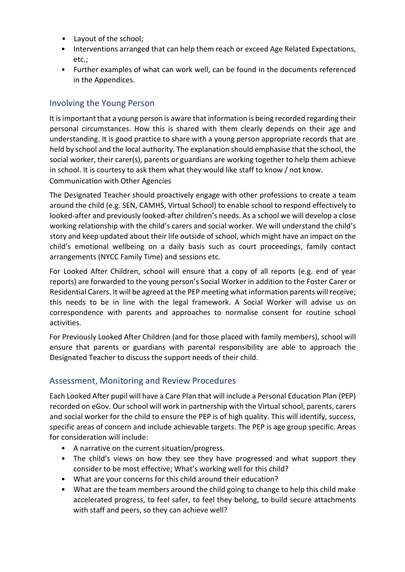- Layout of the school;
- Interventions arranged that can help them reach or exceed Age Related Expectations, etc.;
- Further examples of what can work well, can be found in the documents referenced in the Appendices.

## Involving the Young Person

It is important that a young person is aware that information is being recorded regarding their personal circumstances. How this is shared with them clearly depends on their age and understanding. It is good practice to share with a young person appropriate records that are held by school and the local authority. The explanation should emphasise that the school, the social worker, their carer(s), parents or guardians are working together to help them achieve in school. It is courtesy to ask them what they would like staff to know / not know. Communication with Other Agencies

The Designated Teacher should proactively engage with other professions to create a team around the child (e.g. SEN, CAMHS, Virtual School) to enable school to respond effectively to looked-after and previously looked-after children's needs. As a school we will develop a close working relationship with the child's carers and social worker. We will understand the child's story and keep updated about their life outside of school, which might have an impact on the child's emotional wellbeing on a daily basis such as court proceedings, family contact arrangements (NYCC Family Time) and sessions etc.

For Looked After Children, school will ensure that a copy of all reports (e.g. end of year reports) are forwarded to the young person's Social Worker in addition to the Foster Carer or Residential Carers. It will be agreed at the PEP meeting what information parents will receive; this needs to be in line with the legal framework. A Social Worker will advise us on correspondence with parents and approaches to normalise consent for routine school activities.

For Previously Looked After Children (and for those placed with family members), school will ensure that parents or guardians with parental responsibility are able to approach the Designated Teacher to discuss the support needs of their child.

## Assessment, Monitoring and Review Procedures

Each Looked After pupil will have a Care Plan that will include a Personal Education Plan (PEP) recorded on eGov. Our school will work in partnership with the Virtual school, parents, carers and social worker for the child to ensure the PEP is of high quality. This will identify, success, specific areas of concern and include achievable targets. The PEP is age group specific. Areas for consideration will include:

- A narrative on the current situation/progress.
- The child's views on how they see they have progressed and what support they consider to be most effective; What's working well for this child?
- What are your concerns for this child around their education?
- What are the team members around the child going to change to help this child make accelerated progress, to feel safer, to feel they belong, to build secure attachments with staff and peers, so they can achieve well?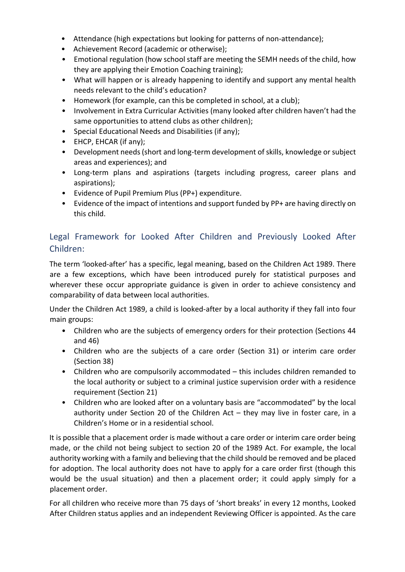- Attendance (high expectations but looking for patterns of non-attendance);
- Achievement Record (academic or otherwise);
- Emotional regulation (how school staff are meeting the SEMH needs of the child, how they are applying their Emotion Coaching training);
- What will happen or is already happening to identify and support any mental health needs relevant to the child's education?
- Homework (for example, can this be completed in school, at a club);
- Involvement in Extra Curricular Activities (many looked after children haven't had the same opportunities to attend clubs as other children);
- Special Educational Needs and Disabilities (if any);
- EHCP, EHCAR (if any);
- Development needs (short and long-term development of skills, knowledge or subject areas and experiences); and
- Long-term plans and aspirations (targets including progress, career plans and aspirations);
- Evidence of Pupil Premium Plus (PP+) expenditure.
- Evidence of the impact of intentions and support funded by PP+ are having directly on this child.

# Legal Framework for Looked After Children and Previously Looked After Children:

The term 'looked-after' has a specific, legal meaning, based on the Children Act 1989. There are a few exceptions, which have been introduced purely for statistical purposes and wherever these occur appropriate guidance is given in order to achieve consistency and comparability of data between local authorities.

Under the Children Act 1989, a child is looked-after by a local authority if they fall into four main groups:

- Children who are the subjects of emergency orders for their protection (Sections 44 and 46)
- Children who are the subjects of a care order (Section 31) or interim care order (Section 38)
- Children who are compulsorily accommodated this includes children remanded to the local authority or subject to a criminal justice supervision order with a residence requirement (Section 21)
- Children who are looked after on a voluntary basis are "accommodated" by the local authority under Section 20 of the Children Act – they may live in foster care, in a Children's Home or in a residential school.

It is possible that a placement order is made without a care order or interim care order being made, or the child not being subject to section 20 of the 1989 Act. For example, the local authority working with a family and believing that the child should be removed and be placed for adoption. The local authority does not have to apply for a care order first (though this would be the usual situation) and then a placement order; it could apply simply for a placement order.

For all children who receive more than 75 days of 'short breaks' in every 12 months, Looked After Children status applies and an independent Reviewing Officer is appointed. As the care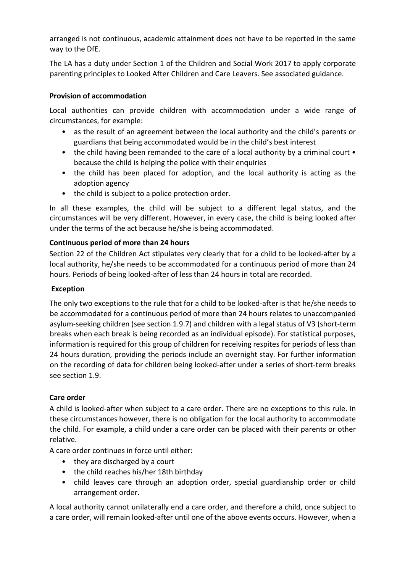arranged is not continuous, academic attainment does not have to be reported in the same way to the DfE.

The LA has a duty under Section 1 of the Children and Social Work 2017 to apply corporate parenting principles to Looked After Children and Care Leavers. See associated guidance.

### Provision of accommodation

Local authorities can provide children with accommodation under a wide range of circumstances, for example:

- as the result of an agreement between the local authority and the child's parents or guardians that being accommodated would be in the child's best interest
- the child having been remanded to the care of a local authority by a criminal court because the child is helping the police with their enquiries
- the child has been placed for adoption, and the local authority is acting as the adoption agency
- the child is subject to a police protection order.

In all these examples, the child will be subject to a different legal status, and the circumstances will be very different. However, in every case, the child is being looked after under the terms of the act because he/she is being accommodated.

### Continuous period of more than 24 hours

Section 22 of the Children Act stipulates very clearly that for a child to be looked-after by a local authority, he/she needs to be accommodated for a continuous period of more than 24 hours. Periods of being looked-after of less than 24 hours in total are recorded.

#### Exception

The only two exceptions to the rule that for a child to be looked-after is that he/she needs to be accommodated for a continuous period of more than 24 hours relates to unaccompanied asylum-seeking children (see section 1.9.7) and children with a legal status of V3 (short-term breaks when each break is being recorded as an individual episode). For statistical purposes, information is required for this group of children for receiving respites for periods of less than 24 hours duration, providing the periods include an overnight stay. For further information on the recording of data for children being looked-after under a series of short-term breaks see section 1.9.

#### Care order

A child is looked-after when subject to a care order. There are no exceptions to this rule. In these circumstances however, there is no obligation for the local authority to accommodate the child. For example, a child under a care order can be placed with their parents or other relative.

A care order continues in force until either:

- they are discharged by a court
- the child reaches his/her 18th birthday
- child leaves care through an adoption order, special guardianship order or child arrangement order.

A local authority cannot unilaterally end a care order, and therefore a child, once subject to a care order, will remain looked-after until one of the above events occurs. However, when a